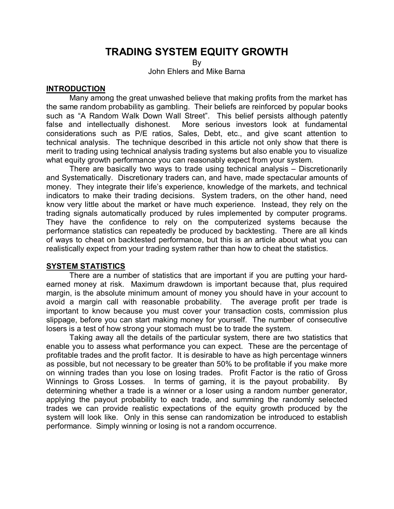# **TRADING SYSTEM EQUITY GROWTH**

By

John Ehlers and Mike Barna

#### **INTRODUCTION**

 Many among the great unwashed believe that making profits from the market has the same random probability as gambling. Their beliefs are reinforced by popular books such as "A Random Walk Down Wall Street". This belief persists although patently false and intellectually dishonest. More serious investors look at fundamental considerations such as P/E ratios, Sales, Debt, etc., and give scant attention to technical analysis. The technique described in this article not only show that there is merit to trading using technical analysis trading systems but also enable you to visualize what equity growth performance you can reasonably expect from your system.

 There are basically two ways to trade using technical analysis – Discretionarily and Systematically. Discretionary traders can, and have, made spectacular amounts of money. They integrate their life's experience, knowledge of the markets, and technical indicators to make their trading decisions. System traders, on the other hand, need know very little about the market or have much experience. Instead, they rely on the trading signals automatically produced by rules implemented by computer programs. They have the confidence to rely on the computerized systems because the performance statistics can repeatedly be produced by backtesting. There are all kinds of ways to cheat on backtested performance, but this is an article about what you can realistically expect from your trading system rather than how to cheat the statistics.

## **SYSTEM STATISTICS**

 There are a number of statistics that are important if you are putting your hardearned money at risk. Maximum drawdown is important because that, plus required margin, is the absolute minimum amount of money you should have in your account to avoid a margin call with reasonable probability. The average profit per trade is important to know because you must cover your transaction costs, commission plus slippage, before you can start making money for yourself. The number of consecutive losers is a test of how strong your stomach must be to trade the system.

 Taking away all the details of the particular system, there are two statistics that enable you to assess what performance you can expect. These are the percentage of profitable trades and the profit factor. It is desirable to have as high percentage winners as possible, but not necessary to be greater than 50% to be profitable if you make more on winning trades than you lose on losing trades. Profit Factor is the ratio of Gross Winnings to Gross Losses. In terms of gaming, it is the payout probability. By determining whether a trade is a winner or a loser using a random number generator, applying the payout probability to each trade, and summing the randomly selected trades we can provide realistic expectations of the equity growth produced by the system will look like. Only in this sense can randomization be introduced to establish performance. Simply winning or losing is not a random occurrence.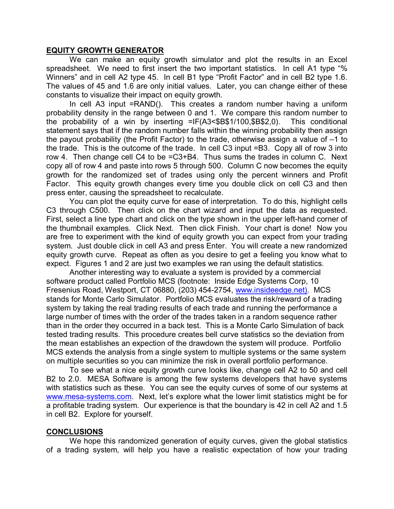#### **EQUITY GROWTH GENERATOR**

 We can make an equity growth simulator and plot the results in an Excel spreadsheet. We need to first insert the two important statistics. In cell A1 type "% Winners" and in cell A2 type 45. In cell B1 type "Profit Factor" and in cell B2 type 1.6. The values of 45 and 1.6 are only initial values. Later, you can change either of these constants to visualize their impact on equity growth.

 In cell A3 input =RAND(). This creates a random number having a uniform probability density in the range between 0 and 1. We compare this random number to the probability of a win by inserting =IF(A3<\$B\$1/100,\$B\$2,0). This conditional statement says that if the random number falls within the winning probability then assign the payout probability (the Profit Factor) to the trade, otherwise assign a value of –1 to the trade. This is the outcome of the trade. In cell C3 input =B3. Copy all of row 3 into row 4. Then change cell C4 to be =C3+B4. Thus sums the trades in column C. Next copy all of row 4 and paste into rows 5 through 500. Column C now becomes the equity growth for the randomized set of trades using only the percent winners and Profit Factor. This equity growth changes every time you double click on cell C3 and then press enter, causing the spreadsheet to recalculate.

 You can plot the equity curve for ease of interpretation. To do this, highlight cells C3 through C500. Then click on the chart wizard and input the data as requested. First, select a line type chart and click on the type shown in the upper left-hand corner of the thumbnail examples. Click Next. Then click Finish. Your chart is done! Now you are free to experiment with the kind of equity growth you can expect from your trading system. Just double click in cell A3 and press Enter. You will create a new randomized equity growth curve. Repeat as often as you desire to get a feeling you know what to expect. Figures 1 and 2 are just two examples we ran using the default statistics.

 Another interesting way to evaluate a system is provided by a commercial software product called Portfolio MCS (footnote: Inside Edge Systems Corp, 10 Fresenius Road, Westport, CT 06880, (203) 454-2754, www.insideedge.net). MCS stands for Monte Carlo Simulator. Portfolio MCS evaluates the risk/reward of a trading system by taking the real trading results of each trade and running the performance a large number of times with the order of the trades taken in a random sequence rather than in the order they occurred in a back test. This is a Monte Carlo Simulation of back tested trading results. This procedure creates bell curve statistics so the deviation from the mean establishes an expection of the drawdown the system will produce. Portfolio MCS extends the analysis from a single system to multiple systems or the same system on multiple securities so you can minimize the risk in overall portfolio performance.

 To see what a nice equity growth curve looks like, change cell A2 to 50 and cell B2 to 2.0. MESA Software is among the few systems developers that have systems with statistics such as these. You can see the equity curves of some of our systems at www.mesa-systems.com. Next, let's explore what the lower limit statistics might be for a profitable trading system. Our experience is that the boundary is 42 in cell A2 and 1.5 in cell B2. Explore for yourself.

## **CONCLUSIONS**

We hope this randomized generation of equity curves, given the global statistics of a trading system, will help you have a realistic expectation of how your trading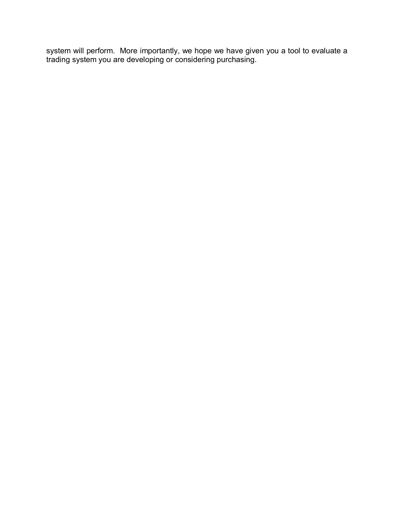system will perform. More importantly, we hope we have given you a tool to evaluate a trading system you are developing or considering purchasing.